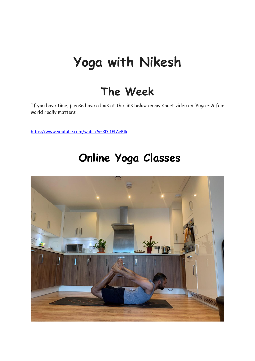# **Yoga with Nikesh**

#### **The Week**

If you have time, please have a look at the link below on my short video on 'Yoga – A fair world really matters'.

<https://www.youtube.com/watch?v=XD-1ELAeRtk>

### **Online Yoga Classes**

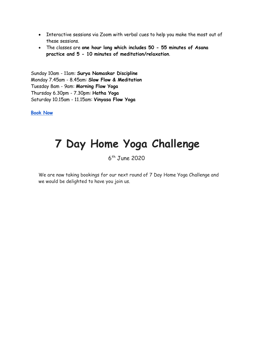- Interactive sessions via Zoom with verbal cues to help you make the most out of these sessions.
- The classes are **one hour long which includes 50 - 55 minutes of Asana practice and 5 - 10 minutes of meditation/relaxation**.

Sunday 10am - 11am: **Surya Namaskar Discipline** Monday 7.45am - 8.45am: **Slow Flow & Meditation** Tuesday 8am - 9am: **Morning Flow Yoga** Thursday 6.30pm - 7.30pm: **Hatha Yoga** Saturday 10.15am - 11.15am: **Vinyasa Flow Yoga**

**[Book Now](https://www.yogawithnikesh.com/online-classes)**

#### **7 Day Home Yoga Challenge**

6 th June 2020

We are now taking bookings for our next round of 7 Day Home Yoga Challenge and we would be delighted to have you join us.